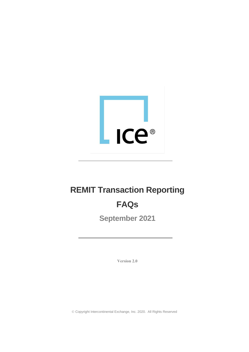

# **REMIT Transaction Reporting**

# **FAQs**

**September 2021**

**Version 2.0**

© Copyright Intercontinental Exchange, Inc. 2020. All Rights Reserved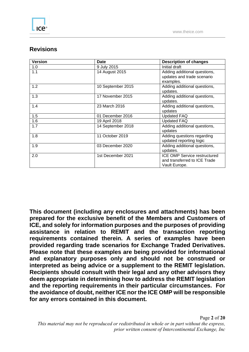# **Revisions**

| <b>Version</b> | <b>Date</b>       | <b>Description of changes</b>                                                        |
|----------------|-------------------|--------------------------------------------------------------------------------------|
| 1.0            | 9 July 2015       | Initial draft                                                                        |
| 1.1            | 14 August 2015    | Adding additional questions,<br>updates and trade scenario<br>examples.              |
| 1.2            | 10 September 2015 | Adding additional questions,<br>updates.                                             |
| 1.3            | 17 November 2015  | Adding additional questions,<br>updates.                                             |
| 1.4            | 23 March 2016     | Adding additional questions,<br>updates                                              |
| 1.5            | 01 December 2016  | <b>Updated FAQ</b>                                                                   |
| 1.6            | 19 April 2018     | <b>Updated FAQ</b>                                                                   |
| 1.7            | 14 September 2018 | Adding additional questions,<br>updates                                              |
| 1.8            | 11 October 2019   | Adding questions regarding<br>updated reporting logic                                |
| 1.9            | 03 December 2020  | Adding additional questions,<br>updates.                                             |
| 2.0            | 1st December 2021 | <b>ICE OMP Service restructured</b><br>and transferred to ICE Trade<br>Vault Europe. |

**This document (including any enclosures and attachments) has been prepared for the exclusive benefit of the Members and Customers of ICE, and solely for information purposes and the purposes of providing assistance in relation to REMIT and the transaction reporting requirements contained therein. A series of examples have been provided regarding trade scenarios for Exchange Traded Derivatives. Please note that these examples are being provided for informational and explanatory purposes only and should not be construed or interpreted as being advice or a supplement to the REMIT legislation. Recipients should consult with their legal and any other advisors they deem appropriate in determining how to address the REMIT legislation and the reporting requirements in their particular circumstances. For the avoidance of doubt, neither ICE nor the ICE OMP will be responsible for any errors contained in this document.**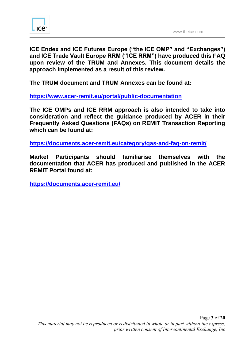

**ICE Endex and ICE Futures Europe ("the ICE OMP" and "Exchanges") and ICE Trade Vault Europe RRM ("ICE RRM") have produced this FAQ upon review of the TRUM and Annexes. This document details the approach implemented as a result of this review.**

**The TRUM document and TRUM Annexes can be found at:** 

**<https://www.acer-remit.eu/portal/public-documentation>**

**The ICE OMPs and ICE RRM approach is also intended to take into consideration and reflect the guidance produced by ACER in their Frequently Asked Questions (FAQs) on REMIT Transaction Reporting which can be found at:**

**<https://documents.acer-remit.eu/category/qas-and-faq-on-remit/>**

**Market Participants should familiarise themselves with the documentation that ACER has produced and published in the ACER REMIT Portal found at:** 

**<https://documents.acer-remit.eu/>**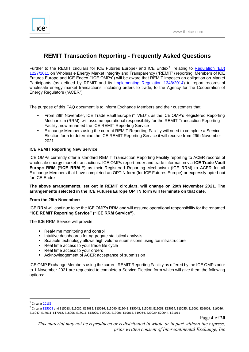

# **REMIT Transaction Reporting - Frequently Asked Questions**

Further to [the](https://www.theice.com/publicdocs/circulars/21055.pdf) REMIT circulars for ICE Futures Europe<sup>1</sup> and ICE Endex<sup>2</sup> relating to Regulation (EU) [1227/2011](https://documents.acer-remit.eu/wp-content/uploads/REMIT_Regulation.pdf) on Wholesale Energy Market Integrity and Transparency ("REMIT") reporting, Members of ICE Futures Europe and ICE Endex ("ICE OMPs") will be aware that REMIT imposes an obligation on Market Participants (as defined by REMIT and its [Implementing Regulation 1348/2014\)](https://documents.acer-remit.eu/wp-content/uploads/Implementing_Regulation.pdf) to report records of wholesale energy market transactions, including orders to trade, to the Agency for the Cooperation of Energy Regulators ("ACER").

The purpose of this FAQ document is to inform Exchange Members and their customers that:

- From 29th November, ICE Trade Vault Europe ("TVEU"), as the ICE OMP's Registered Reporting Mechanism (RRM), will assume operational responsibility for the REMIT Transaction Reporting Facility, now renamed the ICE REMIT Reporting Service
- Exchange Members using the current REMIT Reporting Facility will need to complete a Service Election form to determine the ICE REMIT Reporting Service it will receive from 29th November 2021.

## **ICE REMIT Reporting New Service**

ICE OMPs currently offer a standard REMIT Transaction Reporting Facility reporting to ACER records of wholesale energy market transactions. ICE OMPs report order and trade information via **ICE Trade Vault Europe RRM ("ICE RRM ")** as their Registered Reporting Mechanism (ICE RRM) to ACER for all Exchange Members that have completed an OPTIN form (for ICE Futures Europe) or expressly opted-out for ICE Endex.

## **The above arrangements, set out in REMIT circulars, will change on 29th November 2021. The arrangements selected in the ICE Futures Europe OPTIN form will terminate on that date.**

#### **From the 29th November:**

ICE RRM will continue to be the ICE OMP's RRM and will assume operational responsibility for the renamed **"ICE REMIT Reporting Service" ("ICE RRM Service").** 

The ICE RRM Service will provide:

- Real-time monitoring and control
- Intuitive dashboards for aggregate statistical analysis
- Scalable technology allows high volume submissions using Ice infrastructure
- Real time access to your trade life cycle
- Real time access to your orders
- Acknowledgement of ACER acceptance of submission

ICE OMP Exchange Members using the current REMIT Reporting Facility as offered by the ICE OMPs prior to 1 November 2021 are requested to complete a Service Election form which will give them the following options:

<sup>&</sup>lt;sup>1</sup> Circular [20185](https://www.theice.com/publicdocs/circulars/20185.pdf)

<sup>&</sup>lt;sup>2</sup> Circular <u>E15008</u> and E15013, E15032, E15035, E15036, E15040, E15041, E15042, E15048, E15053, E15054, E15055, E16001, E16008, E16046, E16047, E17011, E17018, E18008, E18011, E18029, E19005, E19006, E19015, E19034, E20029, E20044, E21011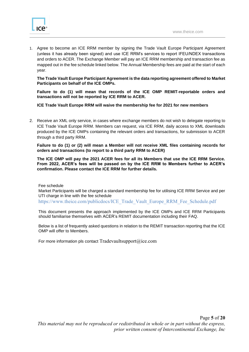

1. Agree to become an ICE RRM member by signing the Trade Vault Europe Participant Agreement (unless it has already been signed) and use ICE RRM's services to report IFEU/NDEX transactions and orders to ACER. The Exchange Member will pay an ICE RRM membership and transaction fee as mapped out in the fee schedule linked below. The Annual Membership fees are paid at the start of each year.

**The Trade Vault Europe Participant Agreement is the data reporting agreement offered to Market Participants on behalf of the ICE OMPs.** 

**Failure to do (1) will mean that records of the ICE OMP REMIT-reportable orders and transactions will not be reported by ICE RRM to ACER.**

**ICE Trade Vault Europe RRM will waive the membership fee for 2021 for new members**

2. Receive an XML only service, in cases where exchange members do not wish to delegate reporting to ICE Trade Vault Europe RRM. Members can request, via ICE RRM, daily access to XML downloads produced by the ICE OMPs containing the relevant orders and transactions, for submission to ACER through a third party RRM.

**Failure to do (1) or (2) will mean a Member will not receive XML files containing records for orders and transactions (to report to a third party RRM to ACER)**

**The ICE OMP will pay the 2021 ACER fees for all its Members that use the ICE RRM Service. From 2022, ACER's fees will be passed on by the ICE RRM to Members further to ACER's confirmation. Please contact the ICE RRM for further details.**

Fee schedule

Market Participants will be charged a standard membership fee for utilising ICE RRM Service and per UTI charge in line with the fee schedule

[https://www.theice.com/publicdocs/ICE\\_Trade\\_Vault\\_Europe\\_RRM\\_Fee\\_Schedule.pdf](https://www.theice.com/publicdocs/ICE_Trade_Vault_Europe_RRM_Fee_Schedule.pdf)

This document presents the approach implemented by the ICE OMPs and ICE RRM Participants should familiarise themselves with ACER's REMIT documentation including their FAQ.

Below is a list of frequently asked questions in relation to the REMIT transaction reporting that the ICE OMP will offer to Members.

For more information pls contact Tradevaultsupport $(\hat{\omega})$ ice.com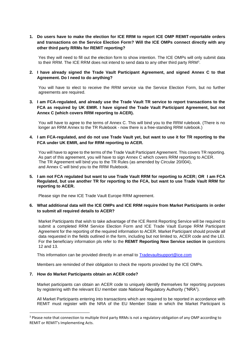**1. Do users have to make the election for ICE RRM to report ICE OMP REMIT-reportable orders and transactions on the Service Election Form? Will the ICE OMPs connect directly with any other third party RRMs for REMIT reporting?**

Yes they will need to fill out the election form to show intention. The ICE OMPs will only submit data to their RRM. The ICE RRM does not intend to send data to any other third party RRM<sup>3</sup>.

# **2. I have already signed the Trade Vault Participant Agreement, and signed Annex C to that Agreement. Do I need to do anything?**

You will have to elect to receive the RRM service via the Service Election Form, but no further agreements are required.

**3. I am FCA-regulated, and already use the Trade Vault TR service to report transactions to the FCA as required by UK EMIR. I have signed the Trade Vault Participant Agreement, but not Annex C (which covers RRM reporting to ACER).**

You will have to agree to the terms of Annex C. This will bind you to the RRM rulebook. (There is no longer an RRM Annex to the TR Rulebook - now there is a free-standing RRM rulebook.)

# **4. I am FCA-regulated, and do not use Trade Vault yet, but want to use it for TR reporting to the FCA under UK EMIR, and for RRM reporting to ACER.**

You will have to agree to the terms of the Trade Vault Participant Agreement. This covers TR reporting. As part of this agreement, you will have to sign Annex C which covers RRM reporting to ACER. The TR Agreement will bind you to the TR Rules (as amended by Circular 20/004), and Annex C will bind you to the RRM Rulebook.

# **5. I am not FCA regulated but want to use Trade Vault RRM for reporting to ACER; OR I am FCA Regulated, but use another TR for reporting to the FCA, but want to use Trade Vault RRM for reporting to ACER.**

Please sign the new ICE Trade Vault Europe RRM agreement.

## **6. What additional data will the ICE OMPs and ICE RRM require from Market Participants in order to submit all required details to ACER?**

Market Participants that wish to take advantage of the ICE Remit Reporting Service will be required to submit a completed RRM Service Election Form and ICE Trade Vault Europe RRM Participant Agreement for the reporting of the required information to ACER. Market Participant should provide all data requested in the fields outlined in the form, including but not limited to, ACER code and the LEI. For the beneficiary information pls refer to the **REMIT Reporting New Service section in** questions 12 and 13.

This information can be provided directly in an email to [Tradevaultsupport@ice.com](mailto:Tradevaultsupport@ice.com)

Members are reminded of their obligation to check the reports provided by the ICE OMPs.

#### **7. How do Market Participants obtain an ACER code?**

Market participants can obtain an ACER code to uniquely identify themselves for reporting purposes by registering with the relevant EU member state National Regulatory Authority ("NRA").

All Market Participants entering into transactions which are required to be reported in accordance with REMIT must register with the NRA of the EU Member State in which the Market Participant is

<sup>&</sup>lt;sup>3</sup> Please note that connection to multiple third party RRMs is not a regulatory obligation of any OMP according to REMIT or REMIT's Implementing Acts.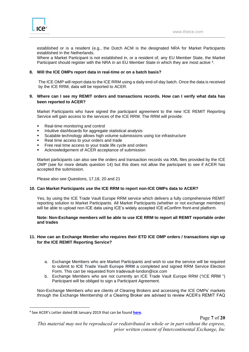

established or is a resident (e.g., the Dutch ACM is the designated NRA for Market Participants established in the Netherlands.

Where a Market Participant is not established in, or a resident of, any EU Member State, the Market Participant should register with the NRA in an EU Member State in which they are most active <sup>4</sup> .

# **8. Will the ICE OMPs report data in real-time or on a batch basis?**

The ICE OMP will report data to the ICE RRM using a daily end-of-day batch. Once the data is received by the ICE RRM, data will be reported to ACER.

## **9. Where can I see my REMIT orders and transactions records. How can I verify what data has been reported to ACER?**

Market Participants who have signed the participant agreement to the new ICE REMIT Reporting Service will gain access to the services of the ICE RRM. The RRM will provide:

- Real-time monitoring and control
- Intuitive dashboards for aggregate statistical analysis
- Scalable technology allows high volume submissions using Ice infrastructure
- Real time access to your orders and trade
- Free real time access to your trade life cycle and orders
- Acknowledgement of ACER acceptance of submission

Market participants can also see the orders and transaction records via XML files provided by the ICE OMP (see for more details question 14) but this does not allow the participant to see if ACER has accepted the submission.

Please also see Questions, 17,18, 20 and 21

#### **10. Can Market Participants use the ICE RRM to report non-ICE OMPs data to ACER?**

Yes, by using the ICE Trade Vault Europe RRM service which delivers a fully comprehensive REMIT reporting solution to Market Participants. All Market Participants (whether or not exchange members) will be able to upload non-ICE data using ICE's widely accepted ICE eConfirm front-end platform.

## **Note: Non-Exchange members will be able to use ICE RRM to report all REMIT reportable order and trades**

# **11. How can an Exchange Member who requires their ETD ICE OMP orders / transactions sign up for the ICE REMIT Reporting Service?**

- a. Exchange Members who are Market Participants and wish to use the service will be required to submit to **ICE Trade Vault Europe RRM** a completed and signed RRM Service Election Form. This can be requested from tradevault-london@ice.com
- b. Exchange Members who are not currently an ICE Trade Vault Europe RRM ("ICE RRM ") Participant will be obliged to sign a Participant Agreement.

Non-Exchange Members who are clients of Clearing Brokers and accessing the ICE OMPs' markets through the Exchange Membership of a Clearing Broker are advised to review ACER's REMIT FAQ

Page **7** of **20**

<sup>4</sup> See ACER's Letter dated 08 January 2019 that can be found **[here](https://documents.acer-remit.eu/wp-content/uploads/Open-Letter_Communication-on-REMIT-and-Brexit_190108.pdf)**.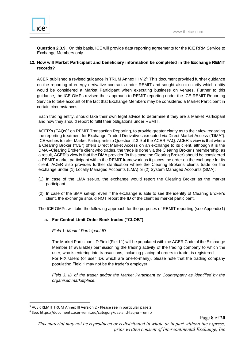

**Question 2.3.9.** On this basis, ICE will provide data reporting agreements for the ICE RRM Service to Exchange Members only.

# **12. How will Market Participant and beneficiary information be completed in the Exchange REMIT records?**

ACER published a revised guidance in TRUM Annex III V.25; This document provided further guidance on the reporting of energy derivative contracts under REMIT and sought also to clarify which entity would be considered a Market Participant when executing business on venues. Further to this guidance, the ICE OMPs revised their approach to REMIT reporting under the ICE REMIT Reporting Service to take account of the fact that Exchange Members may be considered a Market Participant in certain circumstances.

Each trading entity, should take their own legal advice to determine if they are a Market Participant and how they should report to fulfil their obligations under REMIT.

ACER's (FAQs)<sup>6</sup> on REMIT Transaction Reporting, to provide greater clarity as to their view regarding the reporting treatment for Exchange Traded Derivatives executed via Direct Market Access ("DMA"). ICE wishes to refer Market Participants to Question 2.3.9 of the ACER FAQ. ACER's view is that where a Clearing Broker ("CB") offers Direct Market Access on an exchange to its client, although it is the DMA –Clearing Broker's client who trades, the trade is done via the Clearing Broker's membership; as a result, ACER's view is that the DMA provider (in this case the Clearing Broker) should be considered a REMIT market participant within the REMIT framework as it places the order on the exchange for its client. ACER also provides further clarification where the Clearing Broker's clients trade on the exchange under (1) Locally Managed Accounts (LMA) or (2) System Managed Accounts (SMA):

- (1) In case of the LMA set-up, the exchange would report the Clearing Broker as the market participant.
- (2) In case of the SMA set-up, even if the exchange is able to see the identity of Clearing Broker's client, the exchange should NOT report the ID of the client as market participant.

The ICE OMPs will take the following approach for the purposes of REMIT reporting (see Appendix1)

# **a. For Central Limit Order Book trades ("CLOB").**

# *Field 1: Market Participant ID*

The Market Participant ID Field (Field 1) will be populated with the ACER Code of the Exchange Member (if available) permissioning the trading activity of the trading company to which the user, who is entering into transactions, including placing of orders to trade, is registered. For FIX Users (or user IDs which are one-to-many), please note that the trading company populating Field 1 may not be the trader's employer.

*Field 3: ID of the trader and/or the Market Participant or Counterparty as identified by the organised marketplace.*

<sup>5</sup> ACER REMIT TRUM Annex III Version 2 - Please see in particular page 2.

<sup>6</sup> See: https://documents.acer-remit.eu/category/qas-and-faq-on-remit/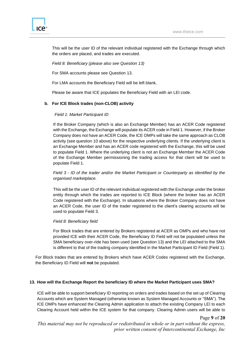This will be the user ID of the relevant individual registered with the Exchange through which the orders are placed, and trades are executed.

*Field 8: Beneficiary (please also see Question 13)*

For SMA accounts please see Question 13.

For LMA accounts the Beneficiary Field will be left blank.

Please be aware that ICE populates the Beneficiary Field with an LEI code.

## **b. For ICE Block trades (non-CLOB) activity**

## *Field 1: Market Participant ID*

If the Broker Company (which is also an Exchange Member) has an ACER Code registered with the Exchange, the Exchange will populate its ACER code in Field 1. However, if the Broker Company does not have an ACER Code, the ICE OMPs will take the same approach as CLOB activity (see question 10 above) for the respective underlying clients. If the underlying client is an Exchange Member and has an ACER code registered with the Exchange, this will be used to populate Field 1. Where the underlying client is not an Exchange Member the ACER Code of the Exchange Member permissioning the trading access for that client will be used to populate Field 1.

*Field 3 - ID of the trader and/or the Market Participant or Counterparty as identified by the organised marketplace.*

This will be the user ID of the relevant individual registered with the Exchange under the broker entity through which the trades are reported to ICE Block (where the broker has an ACER Code registered with the Exchange). In situations where the Broker Company does not have an ACER Code, the user ID of the trader registered to the client's clearing accounts will be used to populate Field 3.

#### *Field 8: Beneficiary field*

For Block trades that are entered by Brokers registered at ACER as OMPs and who have not provided ICE with their ACER Code, the Beneficiary ID Field will not be populated unless the SMA beneficiary over-ride has been used (see Question 13) and the LEI attached to the SMA is different to that of the trading company identified in the Market Participant ID Field (Field 1).

For Block trades that are entered by Brokers which have ACER Codes registered with the Exchange, the Beneficiary ID Field will **not** be populated.

#### **13. How will the Exchange Report the beneficiary ID where the Market Participant uses SMA?**

ICE will be able to support beneficiary ID reporting on orders and trades based on the set up of Clearing Accounts which are System Managed (otherwise known as System Managed Accounts or "SMA"). The ICE OMPs have enhanced the Clearing Admin application to attach the existing Company LEI to each Clearing Account held within the ICE system for that company. Clearing Admin users will be able to

Page **9** of **20**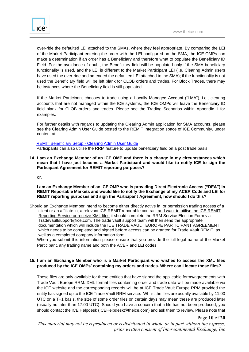over-ride the defaulted LEI attached to the SMAs, where they feel appropriate. By comparing the LEI of the Market Participant entering the order with the LEI configured on the SMA, the ICE OMPs can make a determination if an order has a Beneficiary and therefore what to populate the Beneficiary ID Field. For the avoidance of doubt, the Beneficiary field will be populated only if the SMA beneficiary functionality is used, and the LEI is different to the Market Participant LEI (i.e. Clearing Admin users have used the over-ride and amended the defaulted LEI attached to the SMA); if the functionality is not used the Beneficiary field will be left blank for CLOB orders and trades. For Block Trades, there may be instances where the Beneficiary field is still populated.

If the Market Participant chooses to trade using a Locally Managed Account ("LMA"), i.e., clearing accounts that are not managed within the ICE systems, the ICE OMPs will leave the Beneficiary ID field blank for CLOB orders and trades. Please see the Trading Scenarios within Appendix 1 for examples.

For further details with regards to updating the Clearing Admin application for SMA accounts, please see the Clearing Admin User Guide posted to the REMIT Integration space of ICE Community, under content at:

#### REMIT Beneficiary Setup - [Clearing Admin User Guide](https://theice.lightning.force.com/lightning/r/Knowledge__kav/ka04W000001MCnVQAW/view)

Participants can also utilise the RRM feature to update beneficiary field on a post trade basis

**14. I am an Exchange Member of an ICE OMP and there is a change in my circumstances which mean that I have just become a Market Participant and would like to notify ICE to sign the Participant Agreement for REMIT reporting purposes?**

or.

# **I am an Exchange Member of an ICE OMP who is providing Direct Electronic Access ("DEA") in REMIT Reportable Markets and would like to notify the Exchange of my ACER Code and LEI for REMIT reporting purposes and sign the Participant Agreement, how should I do this?**

Should an Exchange Member intend to become either directly active in, or permission trading access of a client or an affiliate in, a relevant ICE REMIT reportable contract and want to utilise the ICE REMIT Reporting Service or receive XML files it should complete the RRM Service Election Form via Tradevaultsupport@ice.com. The trade vault support team will then send the appropriate documentation which will include the ICE TRADE VAULT EUROPE PARTICIPANT AGREEMENT which needs to be completed and signed before access can be granted for Trade Vault REMIT, as well as a completed company information form.

When you submit this information please ensure that you provide the full legal name of the Market Participant, any trading name and both the ACER and LEI codes.

# **15. I am an Exchange Member who is a Market Participant who wishes to access the XML files produced by the ICE OMPs' containing my orders and trades. Where can I locate these files?**

These files are only available for these entities that have signed the applicable forms/agreements with Trade Vault Europe RRM. XML format files containing order and trade data will be made available via the ICE website and the corresponding records will be at ICE Trade Vault Europe RRM provided the entity has signed up to the ICE Trade Vault RRM service. Whilst the files are usually available by 11:00 UTC on a T+1 basis, the size of some order files on certain days may mean these are produced later (usually no later than 17:00 UTC). Should you have a concern that a file has not been produced, you should contact the ICE Helpdesk (ICEHelpdesk@theice.com) and ask them to review. Please note that

Page **10** of **20**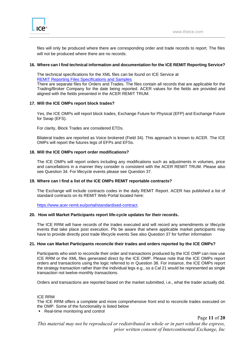

files will only be produced where there are corresponding order and trade records to report. The files will not be produced where there are no records.

## **16. Where can I find technical information and documentation for the ICE REMIT Reporting Service?**

The technical specifications for the XML files can be found on ICE Service at [REMIT Reporting Files Specifications and Samples](https://theice.lightning.force.com/lightning/r/Knowledge__kav/ka04W000001MCfKQAW/view)

There are separate files for Orders and Trades. The files contain all records that are applicable for the Trading/Broker Company for the date being reported. ACER values for the fields are provided and aligned with the fields presented in the ACER REMIT TRUM.

## **17. Will the ICE OMPs report block trades?**

Yes, the ICE OMPs will report block trades, Exchange Future for Physical (EFP) and Exchange Future for Swap (EFS).

For clarity, Block Trades are considered ETDs.

Bilateral trades are reported as Voice brokered (Field 34). This approach is known to ACER. The ICE OMPs will report the futures legs of EFPs and EFSs.

## **18. Will the ICE OMPs report order modifications?**

The ICE OMPs will report orders including any modifications such as adjustments in volumes, price and cancellations in a manner they consider is consistent with the ACER REMIT TRUM. Please also see Question 34. For lifecycle events please see Question 37.

#### **19. Where can I find a list of the ICE OMPs REMIT reportable contracts?**

The Exchange will include contracts codes in the daily REMIT Report. ACER has published a list of standard contracts on its REMIT Web Portal located here:

[https://www.acer-remit.eu/portal/standardised-contract.](https://www.acer-remit.eu/portal/standardised-contract)

#### **20. How will Market Participants report life-cycle updates for their records.**

The ICE RRM will have records of the trades executed and will record any amendments or lifecycle events that take place post execution. Pls be aware that where applicable market participants may have to provide directly post trade lifecycle events See also Question 37 for further information

#### **21. How can Market Participants reconcile their trades and orders reported by the ICE OMPs?**

Participants who wish to reconcile their order and transactions produced by the ICE OMP can now use ICE RRM or the XML files generated direct by the ICE OMP. Please note that the ICE OMPs report orders and transactions using the logic referred to in Question 38. For instance, the ICE OMPs report the strategy transaction rather than the individual legs e.g., so a Cal 21 would be represented as single transaction not twelve-monthly transactions.

Orders and transactions are reported based on the market submitted, i.e., what the trader actually did.

#### ICE RRM

The ICE RRM offers a complete and more comprehensive front end to reconcile trades executed on the OMP. Some of the functionality is listed below

■ Real-time monitoring and control

Page **11** of **20**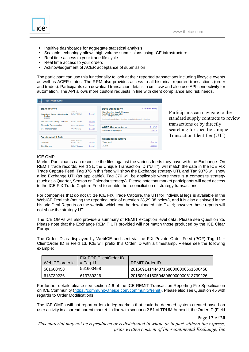

- Intuitive dashboards for aggregate statistical analysis
- Scalable technology allows high volume submissions using ICE infrastructure
- Real time access to your trade life cycle
- Real time access to your orders
- Acknowledgement of ACER acceptance of submission

The participant can use this functionality to look at their reported transactions including lifecycle events as well as ACER status. The RRM also provides access to all historical reported transactions (order and trades). Participants can download transaction details in xml, csv and also use API connectivity for automation. The API allows more custom requests in line with client compliance and risk needs.



Participants can navigate to the standard supply contracts to review transactions or by directly searching for specific Unique Transaction Identifier (UTI)

# ICE OMP

Market Participants can reconcile the files against the various feeds they have with the Exchange. On REMIT trade records, Field 31, the Unique Transaction ID ("UTI"), will match the data in the ICE FIX Trade Capture Feed. Tag 376 in this feed will show the Exchange strategy UTI, and Tag 9376 will show a leg Exchange UTI (as applicable). Tag 376 will be applicable where there is a composite strategy (such as a Quarter, Season or Calendar strategy). Please note that market participants will need access to the ICE FIX Trade Capture Feed to enable the reconciliation of strategy transactions.

For companies that do not utilize ICE FIX Trade Capture, the UTI for individual legs is available in the WebICE Deal tab (noting the reporting logic of question 28,29,38 below), and it is also displayed in the historic Deal Reports on the website which can be downloaded into Excel; however these reports will not show the strategy UTI.

The ICE OMPs will also provide a summary of REMIT exception level data. Please see Question 35. Please note that the Exchange REMIT UTI provided will not match those produced by the ICE Clear Europe.

The Order ID as displayed by WebICE and sent via the FIX Private Order Feed (POF) Tag 11 = ClientOrder ID in Field 13. ICE will prefix this Order ID with a timestamp. Please see the following example:

|                 | FIX POF ClientOrder ID |                                   |
|-----------------|------------------------|-----------------------------------|
| WebICE order id | $=$ Tag 11             | REMIT Order ID                    |
| 561600458       | 561600458              | 201509141444371680000000561600458 |
| 613739226       | 613739226              | 201509141505048960000000613739226 |

For further details please see section 4.6 of the ICE REMIT Transaction Reporting File Specification on ICE Community [\(https://community.theice.com/community/remit\)](https://community.theice.com/community/remit). Please also see Question 45 with regards to Order Modifications.

The ICE OMPs will not report orders in leg markets that could be deemed system created based on user activity in a spread parent market. In line with scenario 2.51 of TRUM Annex II, the Order ID (Field

Page **12** of **20**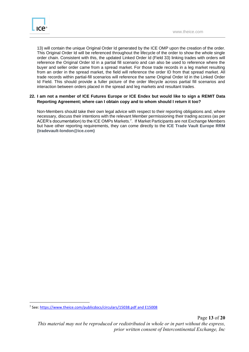

13) will contain the unique Original Order Id generated by the ICE OMP upon the creation of the order. This Original Order Id will be referenced throughout the lifecycle of the order to show the whole single order chain. Consistent with this, the updated Linked Order Id (Field 33) linking trades with orders will reference the Original Order Id in a partial fill scenario and can also be used to reference where the buyer and seller order came from a spread market. For those trade records in a leg market resulting from an order in the spread market, the field will reference the order ID from that spread market. All trade records within partial-fill scenarios will reference the same Original Order Id in the Linked Order Id Field. This should provide a fuller picture of the order lifecycle across partial fill scenarios and interaction between orders placed in the spread and leg markets and resultant trades.

# **22. I am not a member of ICE Futures Europe or ICE Endex but would like to sign a REMIT Data Reporting Agreement; where can I obtain copy and to whom should I return it too?**

Non-Members should take their own legal advice with respect to their reporting obligations and, where necessary, discuss their intentions with the relevant Member permissioning their trading access (as per ACER's documentation) to the ICE OMPs Markets.<sup>7</sup> . If Market Participants are not Exchange Members but have other reporting requirements, they can come directly to the **ICE Trade Vault Europe RRM (tradevault-london@ice.com)**

<sup>&</sup>lt;sup>7</sup> See: <u>https://www.theice.com/publicdocs/circulars/15038.pdf and [E15008](https://www.theice.com/publicdocs/endex/circulars/20150305%20ICE%20Endex%20Circular%20-%20REMIT%20Transaction%20Reporting.pdf)</u>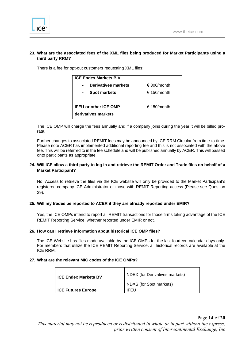# **23. What are the associated fees of the XML files being produced for Market Participants using a third party RRM?**

There is a fee for opt-out customers requesting XML files:

| <b>ICE Endex Markets B.V.</b>                |             |
|----------------------------------------------|-------------|
| <b>Derivatives markets</b><br>$\blacksquare$ | € 300/month |
| <b>Spot markets</b>                          | € 150/month |
|                                              |             |
| <b>IFEU or other ICE OMP</b>                 | € 150/month |
| derivatives markets                          |             |
|                                              |             |

The ICE OMP will charge the fees annually and if a company joins during the year it will be billed prorata.

Further changes to associated REMIT fees may be announced by ICE RRM Circular from time-to-time. Please note ACER has implemented additional reporting fee and this is not associated with the above fee. This will be referred to in the fee schedule and will be published annually by ACER. This will passed onto participants as appropriate.

# **24. Will ICE allow a third party to log in and retrieve the REMIT Order and Trade files on behalf of a Market Participant?**

No. Access to retrieve the files via the ICE website will only be provided to the Market Participant's registered company ICE Administrator or those with REMIT Reporting access (Please see Question 29).

# **25. Will my trades be reported to ACER if they are already reported under EMIR?**

Yes, the ICE OMPs intend to report all REMIT transactions for those firms taking advantage of the ICE REMIT Reporting Service, whether reported under EMIR or not.

#### **26. How can I retrieve information about historical ICE OMP files?**

The ICE Website has files made available by the ICE OMPs for the last fourteen calendar days only. For members that utilize the ICE REMIT Reporting Service, all historical records are available at the ICE RRM.

#### **27. What are the relevant MIC codes of the ICE OMPs?**

| <b>ICE Endex Markets BV</b> | <b>NDEX</b> (for Derivatives markets) |
|-----------------------------|---------------------------------------|
|                             | NDXS (for Spot markets)               |
| <b>ICE Futures Europe</b>   | IFFU                                  |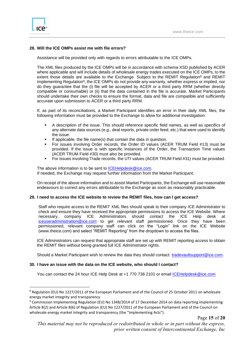

# **28. Will the ICE OMPs assist me with file errors?**

Assistance will be provided only with regards to errors attributable to the ICE OMPs.

The XML files produced by the ICE OMPs will be in accordance with schema XSD published by ACER where applicable and will include details of wholesale energy trades executed on the ICE OMPs, to the extent those details are available to the Exchange. Subject to the REMIT Regulation<sup>8</sup> and REMIT Implementing Regulation<sup>9</sup>, the ICE OMPs do not provide any warranty, whether express or implied, nor do they guarantee that the (i) file will be accepted by ACER or a third party RRM (whether directly compatible or consumable) or (ii) that the data contained in the file is accurate. Market Participants should undertake their own checks to ensure the format, data and file are compatible and sufficiently accurate upon submission to ACER or a third party RRM.

If, as part of its reconciliations, a Market Participant identifies an error in their daily XML files, the following information must be provided to the Exchange to allow for additional investigation:

- A description of the issue. This should reference specific field names, as well as specifics of any alternate data sources (e.g., deal reports, private order feed, etc.) that were used to identify the issue.
- **■** If applicable, the file name(s) that contain the data in question.
- For issues involving Order records, the Order ID values (ACER TRUM Field #13) must be provided. If the issue is with specific instances of the Order, the Transaction Time values (ACER TRUM Field #30) must also be provided.
- For issues involving Trade records, the UTI values (ACER TRUM Field #31) must be provided.

The above information is to be sent to [ICEHelpdesk@ice.com.](mailto:ICEHelpdesk@theice.com) If needed, the Exchange may request further information from the Market Participant.

On receipt of the above information and to assist Market Participants, the Exchange will use reasonable endeavours to correct any errors attributable to the Exchange as soon as reasonably practicable.

#### **29. I need to access the ICE website to review the REMIT files, how can I get access?**

Staff who require access to the REMIT XML files should speak to their company ICE Administrator to check and ensure they have received the appropriate permissions to access the ICE Website. Where necessary, company ICE Administrators should contact the ICE Help desk at [iceuseradministration@ice.com](mailto:iceuseradministration@ice.com) to get relevant staff permissioned. Once they have been permissioned, relevant company staff can click on the "Login" link on the ICE Website (www.theice.com) and select "REMIT Reporting" from the dropdown to access the files.

ICE Administrators can request that appropriate staff are set up with REMIT reporting access to obtain the REMIT files without being granted full ICE Administrator rights.

Should a Market Participant wish to review the data they should contact: [tradevaultsupport@ice.com.](mailto:tradevaultsupport@ice.com)

#### **30. I have an issue with the data on the ICE website, who should I contact?**

You can contact the 24 hour ICE Help Desk at +1 770 738 2101 or email [ICEHelpdesk@ice.com](mailto:ICEHelpdesk@theice.com)

Page **15** of **20**

<sup>8</sup> Regulation (EU) No 1227/2011 of the European Parliament and of the Council of 25 October 2011 on wholesale energy market integrity and transparency

<sup>9</sup> Commission Implementing Regulation (EU) No 1348/2014 of 17 December 2014 on data reporting implementing Article 8(2) and Article 8(6) of Regulation (EU) No 1227/2011 of the European Parliament and of the Council on wholesale energy market integrity and transparency (the "Implementing Acts").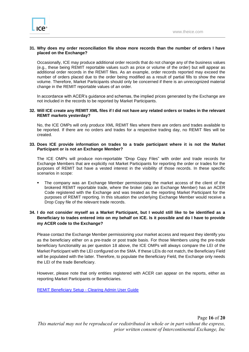

# **31. Why does my order reconciliation file show more records than the number of orders I have placed on the Exchange?**

Occasionally, ICE may produce additional order records that do not change any of the business values (e.g., these being REMIT reportable values such as price or volume of the order) but will appear as additional order records in the REMIT files. As an example, order records reported may exceed the number of orders placed due to the order being modified as a result of partial fills to show the new volume. Therefore, Market Participants should only be concerned if there is an unrecognized material change in the REMIT reportable values of an order.

In accordance with ACER's guidance and schemas, the implied prices generated by the Exchange are not included in the records to be reported by Market Participants.

#### **32. Will ICE create any REMIT XML files if I did not have any related orders or trades in the relevant REMIT markets yesterday?**

No, the ICE OMPs will only produce XML REMIT files where there are orders and trades available to be reported. If there are no orders and trades for a respective trading day, no REMIT files will be created.

#### **33. Does ICE provide information on trades to a trade participant where it is not the Market Participant or is not an Exchange Member?**

The ICE OMPs will produce non-reportable "Drop Copy Files" with order and trade records for Exchange Members that are explicitly not Market Participants for reporting the order or trades for the purposes of REMIT but have a vested interest in the visibility of those records. In these specific scenarios in scope:

The company was an Exchange Member permissioning the market access of the client of the brokered REMIT reportable trade, where the broker (also an Exchange Member) has an ACER Code registered with the Exchange and was treated as the reporting Market Participant for the purposes of REMIT reporting. In this situation the underlying Exchange Member would receive a Drop Copy file of the relevant trade records.

# **34. I do not consider myself as a Market Participant, but I would still like to be identified as a Beneficiary to trades entered into on my behalf on ICE. Is it possible and do I have to provide my ACER code to the Exchange?**

Please contact the Exchange Member permissioning your market access and request they identify you as the beneficiary either on a pre-trade or post trade basis. For those Members using the pre-trade beneficiary functionality as per question 18 above, the ICE OMPs will always compare the LEI of the Market Participant with the LEI configured on the SMA. If these LEIs do not match, the Beneficiary Field will be populated with the latter. Therefore, to populate the Beneficiary Field, the Exchange only needs the LEI of the trade Beneficiary.

However, please note that only entities registered with ACER can appear on the reports, either as reporting Market Participants or Beneficiaries.

REMIT Beneficiary Setup - [Clearing Admin User Guide](https://theice.lightning.force.com/lightning/r/Knowledge__kav/ka04W000001MCnVQAW/view)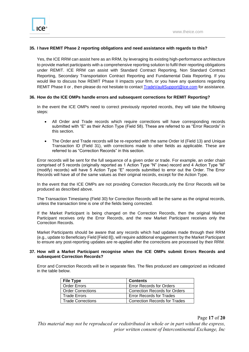# **35. I have REMIT Phase 2 reporting obligations and need assistance with regards to this?**

Yes, the ICE RRM can assist here as an RRM, by leveraging its existing high-performance architecture to provide market participants with a comprehensive reporting solution to fulfil their reporting obligations under REMIT. ICE RRM can assist with Standard Contract Reporting, Non Standard Contract Reporting, Secondary Transportation Contract Reporting and Fundamental Data Reporting. If you would like to discuss how REMIT Phase II impacts your firm, or you have any questions regarding REMIT Phase II or , then please do not hesitate to contac[t TradeVaultSupport@ice.com](mailto:TradeVaultSupport@ice.com) for assistance.

#### **36. How do the ICE OMPs handle errors and subsequent corrections for REMIT Reporting?**

In the event the ICE OMPs need to correct previously reported records, they will take the following steps:

- All Order and Trade records which require corrections will have corresponding records submitted with "E" as their Action Type (Field 58). These are referred to as "Error Records" in this section.
- The Order and Trade records will be re-reported with the same Order Id (Field 13) and Unique Transaction ID (Field 31), with corrections made to other fields as applicable. These are referred to as "Correction Records" in this section.

Error records will be sent for the full sequence of a given order or trade. For example, an order chain comprised of 5 records (originally reported as 1 Action Type "N" (new) record and 4 Action Type "M" (modify) records) will have 5 Action Type "E" records submitted to error out the Order. The Error Records will have all of the same values as their original records, except for the Action Type.

In the event that the ICE OMPs are not providing Correction Records,only the Error Records will be produced as described above.

The Transaction Timestamp (Field 30) for Correction Records will be the same as the original records, unless the transaction time is one of the fields being corrected.

If the Market Participant is being changed on the Correction Records, then the original Market Participant receives only the Error Records, and the new Market Participant receives only the Correction Records.

Market Participants should be aware that any records which had updates made through their RRM (e.g., update to Beneficiary Field [Field 8]), will require additional engagement by the Market Participant to ensure any post-reporting updates are re-applied after the corrections are processed by their RRM.

#### **37. How will a Market Participant recognise when the ICE OMPs submit Errors Records and subsequent Correction Records?**

Error and Correction Records will be in separate files. The files produced are categorized as indicated in the table below.

| <b>File Type</b>         | <b>Contents</b>                      |
|--------------------------|--------------------------------------|
| <b>Order Errors</b>      | <b>Error Records for Orders</b>      |
| <b>Order Corrections</b> | <b>Correction Records for Orders</b> |
| <b>Trade Errors</b>      | <b>Error Records for Trades</b>      |
| <b>Trade Corrections</b> | <b>Correction Records for Trades</b> |

Page **17** of **20**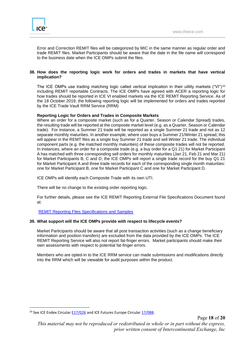Error and Correction REMIT files will be categorized by MIC in the same manner as regular order and trade REMIT files. Market Participants should be aware that the date in the file name will correspond to the business date when the ICE OMPs submit the files.

# **38. How does the reporting logic work for orders and trades in markets that have vertical implication?**

The ICE OMPs use trading matching logic called vertical implication in their utility markets ("VI")<sup>10</sup> including REMIT reportable Contracts. The ICE OMPs have agreed with ACER a reporting logic for how trades should be reported in ICE VI enabled markets via the ICE REMIT Reporting Service. As of the 18 October 2019, the following reporting logic will be implemented for orders and trades reported by the ICE Trade Vault RRM Service (RRM)

# **Reporting Logic for Orders and Trades in Composite Markets**

Where an order for a composite market (such as for a Quarter, Season or Calendar Spread) trades, the resulting trade will be reported at the composite market level (e.g. as a Quarter, Season or Calendar trade). For instance, a Summer 21 trade will be reported as a single Summer 21 trade and not as 12 separate monthly maturities. In another example, where user buys a Summer 21/Winter 21 spread, this will appear in the REMT files as a single buy Summer 21 trade and sell Winter 21 trade. The individual component parts (e.g. the matched monthly maturities) of these composite trades will not be reported. In instances, where an order for a composite trade (e.g. a buy order for a Q1 21) for Market Participant A has matched with three corresponding sell orders for monthly maturities (Jan 21, Feb 21 and Mar 21) for Market Participants B, C and D; the ICE OMPs will report a single trade record for the buy Q1 21 for Market Participant A and three trade records for each of the corresponding single month maturities: one for Market Participant B, one for Market Participant C and one for Market Participant D.

ICE OMPs will identify each Composite Trade with its own UTI.

There will be no change to the existing order reporting logic.

For further details, please see the ICE REMIT Reporting External File Specifications Document found at:

# [REMIT Reporting Files Specifications and Samples](https://theice.lightning.force.com/lightning/r/Knowledge__kav/ka04W000001MCfKQAW/view)

# **39. What support will the ICE OMPs provide with respect to lifecycle events?**

Market Participants should be aware that all post transaction activities (such as a change beneficiary information and position transfers) are excluded from the data provided by the ICE OMPs. The ICE REMIT Reporting Service will also not report fat-finger errors. Market participants should make their own assessments with respect to potential fat-finger errors.

Members who are opted-in to the ICE RRM service can made submissions and modifications directly into the RRM which will be viewable for audit purposes within the product.

<sup>&</sup>lt;sup>10</sup> See ICE Endex Circular **E17/026** and ICE Futures Europe Circula[r 17/088.](https://www.theice.com/publicdocs/circulars/17088.pdf)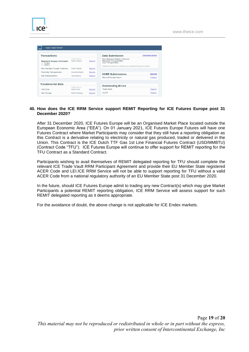

ıce®

#### **40. How does the ICE RRM Service support REMIT Reporting for ICE Futures Europe post 31 December 2020?**

After 31 December 2020, ICE Futures Europe will be an Organised Market Place located outside the European Economic Area ("EEA"). On 01 January 2021, ICE Futures Europe Futures will have one Futures Contract where Market Participants may consider that they still have a reporting obligation as this Contract is a derivative relating to electricity or natural gas produced, traded or delivered in the Union. This Contract is the ICE Dutch TTF Gas 1st Line Financial Futures Contract (USD/MMBTU) (Contract Code "TFU"). ICE Futures Europe will continue to offer support for REMIT reporting for the TFU Contract as a Standard Contract.

Participants wishing to avail themselves of REMIT delegated reporting for TFU should complete the relevant ICE Trade Vault RRM Participant Agreement and provide their EU Member State registered ACER Code and LEI.ICE RRM Service will not be able to support reporting for TFU without a valid ACER Code from a national regulatory authority of an EU Member State post 31 December 2020.

In the future, should ICE Futures Europe admit to trading any new Contract(s) which may give Market Participants a potential REMIT reporting obligation, ICE RRM Service will assess support for such REMIT delegated reporting as it deems appropriate.

For the avoidance of doubt, the above change is not applicable for ICE Endex markets.